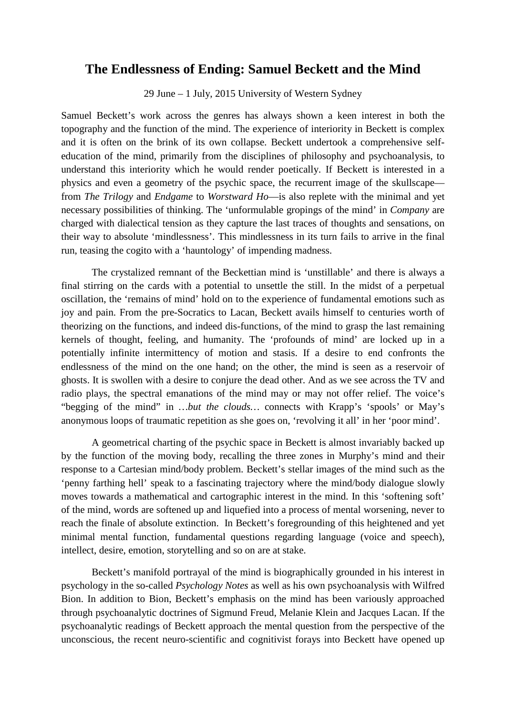## **The Endlessness of Ending: Samuel Beckett and the Mind**

29 June – 1 July, 2015 University of Western Sydney

Samuel Beckett's work across the genres has always shown a keen interest in both the topography and the function of the mind. The experience of interiority in Beckett is complex and it is often on the brink of its own collapse. Beckett undertook a comprehensive selfeducation of the mind, primarily from the disciplines of philosophy and psychoanalysis, to understand this interiority which he would render poetically. If Beckett is interested in a physics and even a geometry of the psychic space, the recurrent image of the skullscape from *The Trilogy* and *Endgame* to *Worstward Ho*—is also replete with the minimal and yet necessary possibilities of thinking. The 'unformulable gropings of the mind' in *Company* are charged with dialectical tension as they capture the last traces of thoughts and sensations, on their way to absolute 'mindlessness'. This mindlessness in its turn fails to arrive in the final run, teasing the cogito with a 'hauntology' of impending madness.

The crystalized remnant of the Beckettian mind is 'unstillable' and there is always a final stirring on the cards with a potential to unsettle the still. In the midst of a perpetual oscillation, the 'remains of mind' hold on to the experience of fundamental emotions such as joy and pain. From the pre-Socratics to Lacan, Beckett avails himself to centuries worth of theorizing on the functions, and indeed dis-functions, of the mind to grasp the last remaining kernels of thought, feeling, and humanity. The 'profounds of mind' are locked up in a potentially infinite intermittency of motion and stasis. If a desire to end confronts the endlessness of the mind on the one hand; on the other, the mind is seen as a reservoir of ghosts. It is swollen with a desire to conjure the dead other. And as we see across the TV and radio plays, the spectral emanations of the mind may or may not offer relief. The voice's "begging of the mind" in *…but the clouds…* connects with Krapp's 'spools' or May's anonymous loops of traumatic repetition as she goes on, 'revolving it all' in her 'poor mind'.

A geometrical charting of the psychic space in Beckett is almost invariably backed up by the function of the moving body, recalling the three zones in Murphy's mind and their response to a Cartesian mind/body problem. Beckett's stellar images of the mind such as the 'penny farthing hell' speak to a fascinating trajectory where the mind/body dialogue slowly moves towards a mathematical and cartographic interest in the mind. In this 'softening soft' of the mind, words are softened up and liquefied into a process of mental worsening, never to reach the finale of absolute extinction. In Beckett's foregrounding of this heightened and yet minimal mental function, fundamental questions regarding language (voice and speech), intellect, desire, emotion, storytelling and so on are at stake.

Beckett's manifold portrayal of the mind is biographically grounded in his interest in psychology in the so-called *Psychology Notes* as well as his own psychoanalysis with Wilfred Bion. In addition to Bion, Beckett's emphasis on the mind has been variously approached through psychoanalytic doctrines of Sigmund Freud, Melanie Klein and Jacques Lacan. If the psychoanalytic readings of Beckett approach the mental question from the perspective of the unconscious, the recent neuro-scientific and cognitivist forays into Beckett have opened up